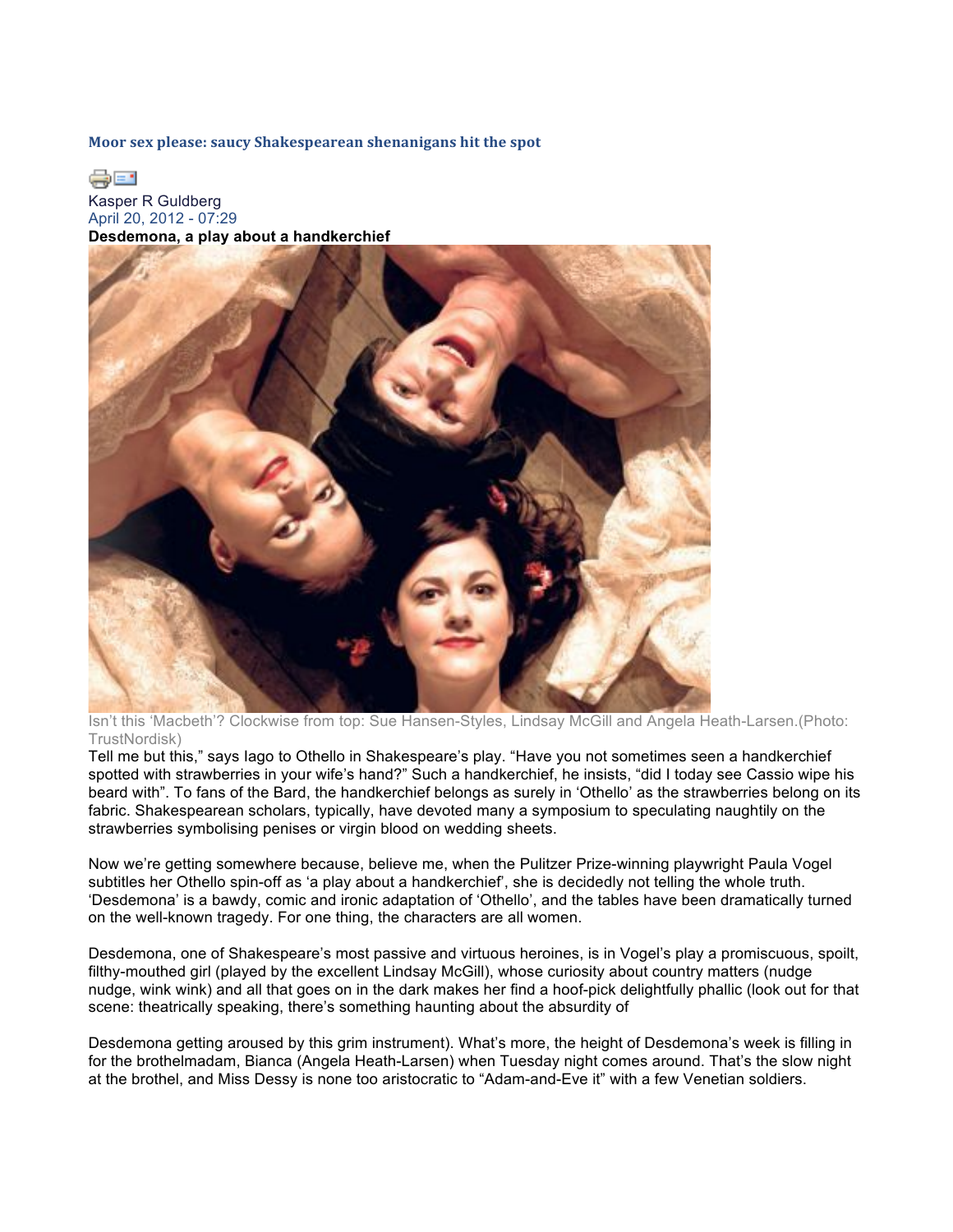**Moor sex please: saucy Shakespearean shenanigans hit the spot** 

de en

Kasper R Guldberg April 20, 2012 - 07:29 **Desdemona, a play about a handkerchief**



Isn't this 'Macbeth'? Clockwise from top: Sue Hansen-Styles, Lindsay McGill and Angela Heath-Larsen.(Photo: TrustNordisk)

Tell me but this," says Iago to Othello in Shakespeare's play. "Have you not sometimes seen a handkerchief spotted with strawberries in your wife's hand?" Such a handkerchief, he insists, "did I today see Cassio wipe his beard with". To fans of the Bard, the handkerchief belongs as surely in 'Othello' as the strawberries belong on its fabric. Shakespearean scholars, typically, have devoted many a symposium to speculating naughtily on the strawberries symbolising penises or virgin blood on wedding sheets.

Now we're getting somewhere because, believe me, when the Pulitzer Prize-winning playwright Paula Vogel subtitles her Othello spin-off as 'a play about a handkerchief', she is decidedly not telling the whole truth. 'Desdemona' is a bawdy, comic and ironic adaptation of 'Othello', and the tables have been dramatically turned on the well-known tragedy. For one thing, the characters are all women.

Desdemona, one of Shakespeare's most passive and virtuous heroines, is in Vogel's play a promiscuous, spoilt, filthy-mouthed girl (played by the excellent Lindsay McGill), whose curiosity about country matters (nudge nudge, wink wink) and all that goes on in the dark makes her find a hoof-pick delightfully phallic (look out for that scene: theatrically speaking, there's something haunting about the absurdity of

Desdemona getting aroused by this grim instrument). What's more, the height of Desdemona's week is filling in for the brothelmadam, Bianca (Angela Heath-Larsen) when Tuesday night comes around. That's the slow night at the brothel, and Miss Dessy is none too aristocratic to "Adam-and-Eve it" with a few Venetian soldiers.